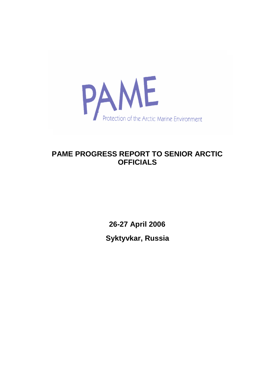

# **PAME PROGRESS REPORT TO SENIOR ARCTIC OFFICIALS**

**26-27 April 2006 Syktyvkar, Russia**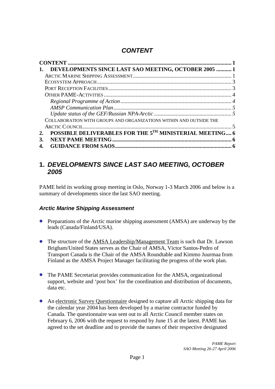## <span id="page-1-0"></span>*CONTENT*

| DEVELOPMENTS SINCE LAST SAO MEETING, OCTOBER 2005  1               |  |
|--------------------------------------------------------------------|--|
|                                                                    |  |
|                                                                    |  |
|                                                                    |  |
|                                                                    |  |
|                                                                    |  |
|                                                                    |  |
|                                                                    |  |
| COLLABORATION WITH GROUPS AND ORGANIZATIONS WITHIN AND OUTSIDE THE |  |
|                                                                    |  |
| POSSIBLE DELIVERABLES FOR THE 5TH MINISTERIAL MEETING 6<br>2.      |  |
| 3.                                                                 |  |
| 4.                                                                 |  |

## <span id="page-1-1"></span>**1.** *DEVELOPMENTS SINCE LAST SAO MEETING, OCTOBER 2005*

PAME held its working group meeting in Oslo, Norway 1-3 March 2006 and below is a summary of developments since the last SAO meeting.

### <span id="page-1-2"></span>*Arctic Marine Shipping Assessment*

- **•** Preparations of the Arctic marine shipping assessment (AMSA) are underway by the leads (Canada/Finland/USA).
- The structure of the AMSA Leadership/Management Team is such that Dr. Lawson Brigham/United States serves as the Chair of AMSA, Victor Santos-Pedro of Transport Canada is the Chair of the AMSA Roundtable and Kimmo Juurmaa from Finland as the AMSA Project Manager facilitating the progress of the work plan.
- The PAME Secretariat provides communication for the AMSA, organizational support, website and 'post box' for the coordination and distribution of documents, data etc.
- An electronic Survey Questionnaire designed to capture all Arctic shipping data for the calendar year 2004 has been developed by a marine contractor funded by Canada. The questionnaire was sent out to all Arctic Council member states on February 6, 2006 with the request to respond by June 15 at the latest. PAME has agreed to the set deadline and to provide the names of their respective designated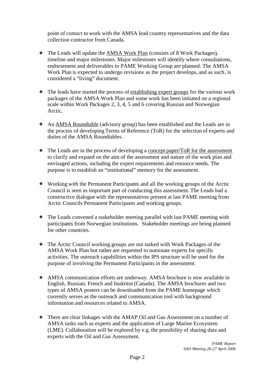point of contact to work with the AMSA lead country representatives and the data collection contractor from Canada.

- The Leads will update the AMSA Work Plan (consists of 8 Work Packages), timeline and major milestones. Major milestones will identify where consultations, endorsement and deliverables to PAME Working Group are planned. The AMSA Work Plan is expected to undergo revisions as the project develops, and as such, is considered a "living" document.
- The leads have started the process of establishing expert groups for the various work packages of the AMSA Work Plan and some work has been initiated on a regional scale within Work Packages 2, 3, 4, 5 and 6 covering Russian and Norwegian Arctic.
- An AMSA Roundtable (advisory group) has been established and the Leads are in the process of developing Terms of Reference (ToR) for the selection of experts and duties of the AMSA Roundtables.
- The Leads are in the process of developing a concept paper/ToR for the assessment to clarify and expand on the aim of the assessment and nature of the work plan and envisaged actions, including the expert requirements and resource needs. The purpose is to establish an "institutional" memory for the assessment.
- Working with the Permanent Participants and all the working groups of the Arctic Council is seen as important part of conducting this assessment. The Leads had a constructive dialogue with the representatives present at last PAME meeting from Arctic Councils Permanent Participants and working groups.
- The Leads convened a stakeholder meeting parallel with last PAME meeting with participants from Norwegian institutions. Stakeholder meetings are being planned for other countries.
- The Arctic Council working groups are not tasked with Work Packages of the AMSA Work Plan but rather are requested to nominate experts for specific activities. The outreach capabilities within the IPS structure will be used for the purpose of involving the Permanent Participants in the assessment.
- AMSA communication efforts are underway. AMSA brochure is now available in English, Russian, French and Inuktitut (Canada). The AMSA brochures and two types of AMSA posters can be downloaded from the PAME homepage which currently serves as the outreach and communication tool with background information and resources related to AMSA.
- There are clear linkages with the AMAP Oil and Gas Assessment on a number of AMSA tasks such as experts and the application of Large Marine Ecosystem (LME). Collaboration will be explored by e.g. the possibility of sharing data and experts with the Oil and Gas Assessment.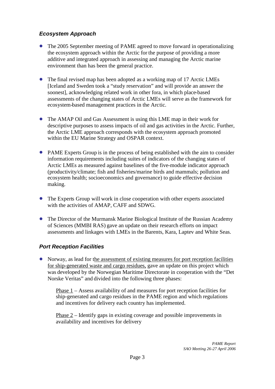### <span id="page-3-0"></span>*Ecosystem Approach*

- The 2005 September meeting of PAME agreed to move forward in operationalizing the ecosystem approach within the Arctic for the purpose of providing a more additive and integrated approach in assessing and managing the Arctic marine environment than has been the general practice.
- The final revised map has been adopted as a working map of 17 Arctic LMEs [Iceland and Sweden took a "study reservation" and will provide an answer the soonest], acknowledging related work in other fora, in which place-based assessments of the changing states of Arctic LMEs will serve as the framework for ecosystem-based management practices in the Arctic.
- The AMAP Oil and Gas Assessment is using this LME map in their work for descriptive purposes to assess impacts of oil and gas activities in the Arctic. Further, the Arctic LME approach corresponds with the ecosystem approach promoted within the EU Marine Strategy and OSPAR context.
- PAME Experts Group is in the process of being established with the aim to consider information requirements including suites of indicators of the changing states of Arctic LMEs as measured against baselines of the five-module indicator approach (productivity/climate; fish and fisheries/marine birds and mammals; pollution and ecosystem health; socioeconomics and governance) to guide effective decision making.
- The Experts Group will work in close cooperation with other experts associated with the activities of AMAP, CAFF and SDWG.
- The Director of the Murmansk Marine Biological Institute of the Russian Academy of Sciences (MMBI RAS) gave an update on their research efforts on impact assessments and linkages with LMEs in the Barents, Kara, Laptev and White Seas.

### <span id="page-3-1"></span>*Port Reception Facilities*

• Norway, as lead for the assessment of existing measures for port reception facilities for ship-generated waste and cargo residues, gave an update on this project which was developed by the Norwegian Maritime Directorate in cooperation with the "Det Norske Veritas" and divided into the following three phases:

Phase 1 – Assess availability of and measures for port reception facilities for ship-generated and cargo residues in the PAME region and which regulations and incentives for delivery each country has implemented.

Phase 2 – Identify gaps in existing coverage and possible improvements in availability and incentives for delivery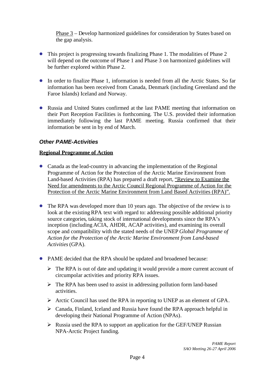Phase 3 – Develop harmonized guidelines for consideration by States based on the gap analysis.

- This project is progressing towards finalizing Phase 1. The modalities of Phase 2 will depend on the outcome of Phase 1 and Phase 3 on harmonized guidelines will be further explored within Phase 2.
- In order to finalize Phase 1, information is needed from all the Arctic States. So far information has been received from Canada, Denmark (including Greenland and the Faroe Islands) Iceland and Norway.
- Russia and United States confirmed at the last PAME meeting that information on their Port Reception Facilities is forthcoming. The U.S. provided their information immediately following the last PAME meeting. Russia confirmed that their information be sent in by end of March.

#### <span id="page-4-0"></span>*Other PAME-Activities*

#### <span id="page-4-1"></span>**Regional Programme of Action**

- Canada as the lead-country in advancing the implementation of the Regional Programme of Action for the Protection of the Arctic Marine Environment from Land-based Activities (RPA) has prepared a draft report, "Review to Examine the Need for amendments to the Arctic Council Regional Programme of Action for the Protection of the Arctic Marine Environment from Land Based Activities (RPA)".
- The RPA was developed more than 10 years ago. The objective of the review is to look at the existing RPA text with regard to: addressing possible additional priority source categories, taking stock of international developments since the RPA's inception (including ACIA, AHDR, ACAP activities), and examining its overall scope and compatibility with the stated needs of the UNEP *Global Programme of Action for the Protection of the Arctic Marine Environment from Land-based Activities* (GPA).
- PAME decided that the RPA should be updated and broadened because:
	- $\triangleright$  The RPA is out of date and updating it would provide a more current account of circumpolar activities and priority RPA issues.
	- $\triangleright$  The RPA has been used to assist in addressing pollution form land-based activities.
	- $\triangleright$  Arctic Council has used the RPA in reporting to UNEP as an element of GPA.
	- $\triangleright$  Canada, Finland, Iceland and Russia have found the RPA approach helpful in developing their National Programme of Action (NPAs).
	- $\triangleright$  Russia used the RPA to support an application for the GEF/UNEP Russian NPA-Arctic Project funding.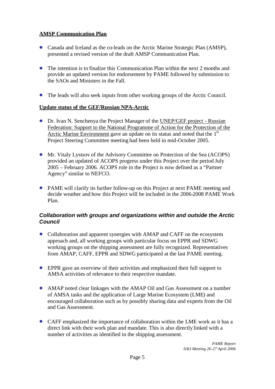#### <span id="page-5-0"></span>**AMSP Communication Plan**

- Canada and Iceland as the co-leads on the Arctic Marine Strategic Plan (AMSP), presented a revised version of the draft AMSP Communication Plan.
- The intention is to finalize this Communication Plan within the next 2 months and provide an updated version for endorsement by PAME followed by submission to the SAOs and Ministers in the Fall.
- The leads will also seek inputs from other working groups of the Arctic Council.

#### <span id="page-5-1"></span>**Update status of the GEF/Russian NPA-Arctic**

- Dr. Ivan N. Senchenya the Project Manager of the UNEP/GEF project Russian Federation: Support to the National Programme of Action for the Protection of the Arctic Marine Environment gave an update on its status and noted that the  $1<sup>st</sup>$ Project Steering Committee meeting had been held in mid-October 2005.
- Mr. Vitaly Lystsov of the Advisory Committee on Protection of the Sea (ACOPS) provided an updated of ACOPS progress under this Project over the period July 2005 – February 2006. ACOPS role in the Project is now defined as a "Partner Agency" similar to NEFCO.
- PAME will clarify its further follow-up on this Project at next PAME meeting and decide weather and how this Project will be included in the 2006-2008 PAME Work Plan.

### <span id="page-5-2"></span>*Collaboration with groups and organizations within and outside the Arctic Council*

- Collaboration and apparent synergies with AMAP and CAFF on the ecosystem approach and, all working groups with particular focus on EPPR and SDWG working groups on the shipping assessment are fully recognized. Representatives from AMAP, CAFF, EPPR and SDWG participated at the last PAME meeting.
- EPPR gave an overview of their activities and emphasized their full support to AMSA activities of relevance to their respective mandate.
- AMAP noted clear linkages with the AMAP Oil and Gas Assessment on a number of AMSA tasks and the application of Large Marine Ecosystem (LME) and encouraged collaboration such as by possibly sharing data and experts from the Oil and Gas Assessment.
- CAFF emphasized the importance of collaboration within the LME work as it has a direct link with their work plan and mandate. This is also directly linked with a number of activities as identified in the shipping assessment.